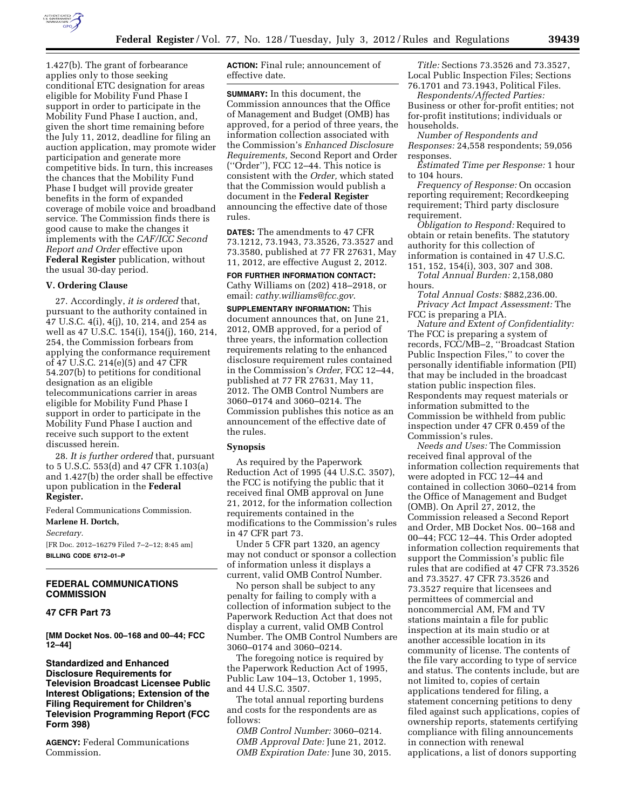

1.427(b). The grant of forbearance applies only to those seeking conditional ETC designation for areas eligible for Mobility Fund Phase I support in order to participate in the Mobility Fund Phase I auction, and, given the short time remaining before the July 11, 2012, deadline for filing an auction application, may promote wider participation and generate more competitive bids. In turn, this increases the chances that the Mobility Fund Phase I budget will provide greater benefits in the form of expanded coverage of mobile voice and broadband service. The Commission finds there is good cause to make the changes it implements with the *CAF/ICC Second Report and Order* effective upon **Federal Register** publication, without the usual 30-day period.

#### **V. Ordering Clause**

27. Accordingly, *it is ordered* that, pursuant to the authority contained in 47 U.S.C. 4(i), 4(j), 10, 214, and 254 as well as 47 U.S.C. 154(i), 154(j), 160, 214, 254, the Commission forbears from applying the conformance requirement of 47 U.S.C. 214(e)(5) and 47 CFR 54.207(b) to petitions for conditional designation as an eligible telecommunications carrier in areas eligible for Mobility Fund Phase I support in order to participate in the Mobility Fund Phase I auction and receive such support to the extent discussed herein.

28. *It is further ordered* that, pursuant to 5 U.S.C. 553(d) and 47 CFR 1.103(a) and 1.427(b) the order shall be effective upon publication in the **Federal Register.** 

Federal Communications Commission.

**Marlene H. Dortch,**  *Secretary.*  [FR Doc. 2012–16279 Filed 7–2–12; 8:45 am] **BILLING CODE 6712–01–P** 

#### **FEDERAL COMMUNICATIONS COMMISSION**

# **47 CFR Part 73**

**[MM Docket Nos. 00–168 and 00–44; FCC 12–44]** 

**Standardized and Enhanced Disclosure Requirements for Television Broadcast Licensee Public Interest Obligations; Extension of the Filing Requirement for Children's Television Programming Report (FCC Form 398)** 

**AGENCY:** Federal Communications Commission.

**ACTION:** Final rule; announcement of effective date.

**SUMMARY:** In this document, the Commission announces that the Office of Management and Budget (OMB) has approved, for a period of three years, the information collection associated with the Commission's *Enhanced Disclosure Requirements,* Second Report and Order (''Order''), FCC 12–44. This notice is consistent with the *Order,* which stated that the Commission would publish a document in the **Federal Register**  announcing the effective date of those rules.

**DATES:** The amendments to 47 CFR 73.1212, 73.1943, 73.3526, 73.3527 and 73.3580, published at 77 FR 27631, May 11, 2012, are effective August 2, 2012.

**FOR FURTHER INFORMATION CONTACT:**  Cathy Williams on (202) 418–2918, or email: *[cathy.williams@fcc.gov](mailto:cathy.williams@fcc.gov)*.

**SUPPLEMENTARY INFORMATION:** This document announces that, on June 21, 2012, OMB approved, for a period of three years, the information collection requirements relating to the enhanced disclosure requirement rules contained in the Commission's *Order,* FCC 12–44, published at 77 FR 27631, May 11, 2012. The OMB Control Numbers are 3060–0174 and 3060–0214. The Commission publishes this notice as an announcement of the effective date of the rules.

#### **Synopsis**

As required by the Paperwork Reduction Act of 1995 (44 U.S.C. 3507), the FCC is notifying the public that it received final OMB approval on June 21, 2012, for the information collection requirements contained in the modifications to the Commission's rules in 47 CFR part 73.

Under 5 CFR part 1320, an agency may not conduct or sponsor a collection of information unless it displays a current, valid OMB Control Number.

No person shall be subject to any penalty for failing to comply with a collection of information subject to the Paperwork Reduction Act that does not display a current, valid OMB Control Number. The OMB Control Numbers are 3060–0174 and 3060–0214.

The foregoing notice is required by the Paperwork Reduction Act of 1995, Public Law 104–13, October 1, 1995, and 44 U.S.C. 3507.

The total annual reporting burdens and costs for the respondents are as follows:

*OMB Control Number:* 3060–0214. *OMB Approval Date:* June 21, 2012. *OMB Expiration Date:* June 30, 2015.

*Title:* Sections 73.3526 and 73.3527, Local Public Inspection Files; Sections 76.1701 and 73.1943, Political Files.

*Respondents/Affected Parties:*  Business or other for-profit entities; not for-profit institutions; individuals or households.

*Number of Respondents and Responses:* 24,558 respondents; 59,056 responses.

*Estimated Time per Response:* 1 hour to 104 hours.

*Frequency of Response:* On occasion reporting requirement; Recordkeeping requirement; Third party disclosure requirement.

*Obligation to Respond:* Required to obtain or retain benefits. The statutory authority for this collection of information is contained in 47 U.S.C. 151, 152, 154(i), 303, 307 and 308.

*Total Annual Burden:* 2,158,080 hours.

*Total Annual Costs:* \$882,236.00. *Privacy Act Impact Assessment:* The FCC is preparing a PIA.

*Nature and Extent of Confidentiality:*  The FCC is preparing a system of records, FCC/MB–2, ''Broadcast Station Public Inspection Files,'' to cover the personally identifiable information (PII) that may be included in the broadcast station public inspection files. Respondents may request materials or information submitted to the Commission be withheld from public inspection under 47 CFR 0.459 of the Commission's rules.

*Needs and Uses:* The Commission received final approval of the information collection requirements that were adopted in FCC 12–44 and contained in collection 3060–0214 from the Office of Management and Budget (OMB). On April 27, 2012, the Commission released a Second Report and Order, MB Docket Nos. 00–168 and 00–44; FCC 12–44. This Order adopted information collection requirements that support the Commission's public file rules that are codified at 47 CFR 73.3526 and 73.3527. 47 CFR 73.3526 and 73.3527 require that licensees and permittees of commercial and noncommercial AM, FM and TV stations maintain a file for public inspection at its main studio or at another accessible location in its community of license. The contents of the file vary according to type of service and status. The contents include, but are not limited to, copies of certain applications tendered for filing, a statement concerning petitions to deny filed against such applications, copies of ownership reports, statements certifying compliance with filing announcements in connection with renewal applications, a list of donors supporting